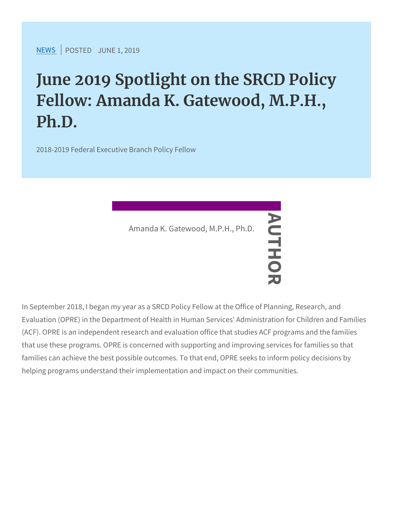$NEW$ SPOSTEJDUNE 1, 2019

June 2019 Spotlight on the SRCI Fellow: Amanda K. Gatewood, M. Ph.D.

2018-2019 Federal Executive Branch Policy Fellow

Amanda K. Gatewood,  $M.P.H., Ph.D.  
\n $\longrightarrow$$ 

In September 2018, I began my year as a SRCD Policy Fellow at the Evaluation (OPRE) in the Department of Health in Human Services (ACF). OPRE is an independent research and evaluation office that that use these programs. OPRE is concerned with supporting and in families can achieve the best possible outcomes. To that end, OPR helping programs understand their implementation and impact on th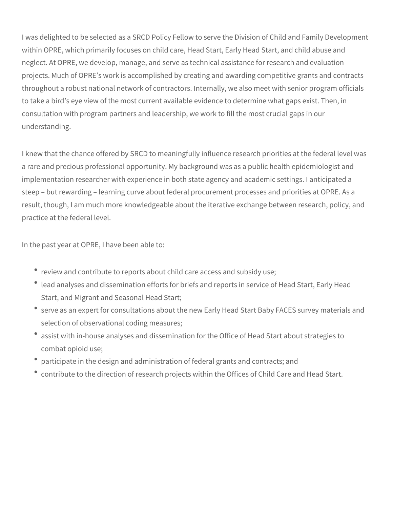I was delighted to be selected as a SRCD Policy Fellow to serve the Division of Child and Family Development within OPRE, which primarily focuses on child care, Head Start, Early Head Start, and child abuse and neglect. At OPRE, we develop, manage, and serve as technical assistance for research and evaluation projects. Much of OPRE's work is accomplished by creating and awarding competitive grants and contracts throughout a robust national network of contractors. Internally, we also meet with senior program officials to take a bird's eye view of the most current available evidence to determine what gaps exist. Then, in consultation with program partners and leadership, we work to fill the most crucial gaps in our understanding.

I knew that the chance offered by SRCD to meaningfully influence research priorities at the federal level was a rare and precious professional opportunity. My background was as a public health epidemiologist and implementation researcher with experience in both state agency and academic settings. I anticipated a steep – but rewarding – learning curve about federal procurement processes and priorities at OPRE. As a result, though, I am much more knowledgeable about the iterative exchange between research, policy, and practice at the federal level.

In the past year at OPRE, I have been able to:

- review and contribute to reports about child care access and subsidy use;
- lead analyses and dissemination efforts for briefs and reports in service of Head Start, Early Head Start, and Migrant and Seasonal Head Start;
- serve as an expert for consultations about the new Early Head Start Baby FACES survey materials and selection of observational coding measures;
- assist with in-house analyses and dissemination for the Office of Head Start about strategies to combat opioid use;
- participate in the design and administration of federal grants and contracts; and
- contribute to the direction of research projects within the Offices of Child Care and Head Start.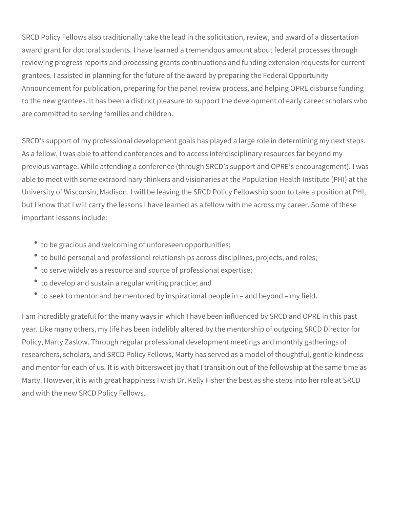SRCD Policy Fellows also traditionally take the lead in the solicitation, review, and award of a dissertation award grant for doctoral students. I have learned a tremendous amount about federal processes through reviewing progress reports and processing grants continuations and funding extension requests for current grantees. I assisted in planning for the future of the award by preparing the Federal Opportunity Announcement for publication, preparing for the panel review process, and helping OPRE disburse funding to the new grantees. It has been a distinct pleasure to support the development of early career scholars who are committed to serving families and children.

SRCD's support of my professional development goals has played a large role in determining my next steps. As a fellow, I was able to attend conferences and to access interdisciplinary resources far beyond my previous vantage. While attending a conference (through SRCD's support and OPRE's encouragement), I was able to meet with some extraordinary thinkers and visionaries at the Population Health Institute (PHI) at the University of Wisconsin, Madison. I will be leaving the SRCD Policy Fellowship soon to take a position at PHI, but I know that I will carry the lessons I have learned as a fellow with me across my career. Some of these important lessons include:

- to be gracious and welcoming of unforeseen opportunities;
- to build personal and professional relationships across disciplines, projects, and roles;
- to serve widely as a resource and source of professional expertise;
- to develop and sustain a regular writing practice; and
- to seek to mentor and be mentored by inspirational people in and beyond my field.

I am incredibly grateful for the many ways in which I have been influenced by SRCD and OPRE in this past year. Like many others, my life has been indelibly altered by the mentorship of outgoing SRCD Director for Policy, Marty Zaslow. Through regular professional development meetings and monthly gatherings of researchers, scholars, and SRCD Policy Fellows, Marty has served as a model of thoughtful, gentle kindness and mentor for each of us. It is with bittersweet joy that I transition out of the fellowship at the same time as Marty. However, it is with great happiness I wish Dr. Kelly Fisher the best as she steps into her role at SRCD and with the new SRCD Policy Fellows.